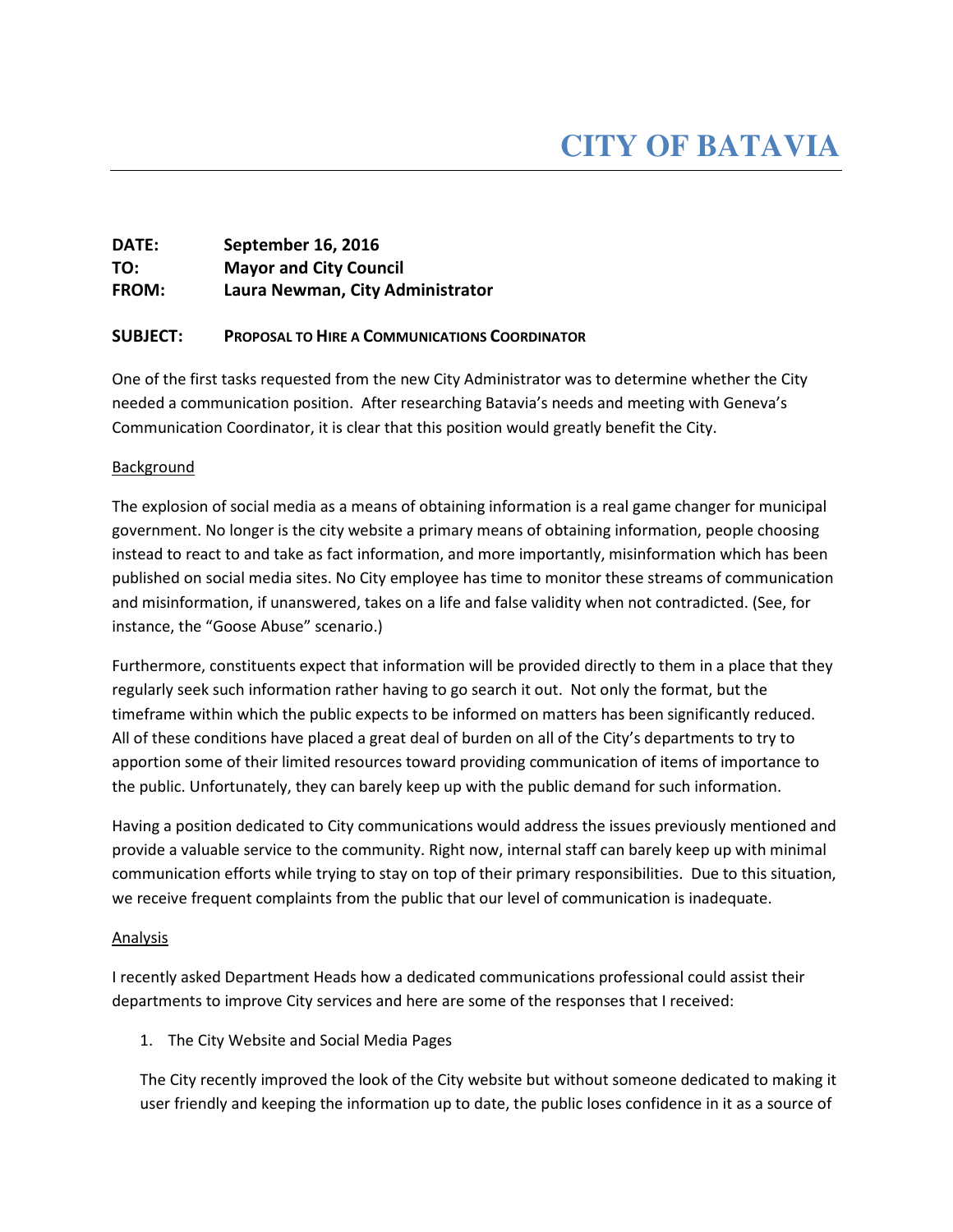## DATE: September 16, 2016 TO: Mayor and City Council FROM: Laura Newman, City Administrator

### SUBJECT: PROPOSAL TO HIRE A COMMUNICATIONS COORDINATOR

One of the first tasks requested from the new City Administrator was to determine whether the City needed a communication position. After researching Batavia's needs and meeting with Geneva's Communication Coordinator, it is clear that this position would greatly benefit the City.

### **Background**

The explosion of social media as a means of obtaining information is a real game changer for municipal government. No longer is the city website a primary means of obtaining information, people choosing instead to react to and take as fact information, and more importantly, misinformation which has been published on social media sites. No City employee has time to monitor these streams of communication and misinformation, if unanswered, takes on a life and false validity when not contradicted. (See, for instance, the "Goose Abuse" scenario.)

Furthermore, constituents expect that information will be provided directly to them in a place that they regularly seek such information rather having to go search it out. Not only the format, but the timeframe within which the public expects to be informed on matters has been significantly reduced. All of these conditions have placed a great deal of burden on all of the City's departments to try to apportion some of their limited resources toward providing communication of items of importance to the public. Unfortunately, they can barely keep up with the public demand for such information.

Having a position dedicated to City communications would address the issues previously mentioned and provide a valuable service to the community. Right now, internal staff can barely keep up with minimal communication efforts while trying to stay on top of their primary responsibilities. Due to this situation, we receive frequent complaints from the public that our level of communication is inadequate.

### Analysis

I recently asked Department Heads how a dedicated communications professional could assist their departments to improve City services and here are some of the responses that I received:

### 1. The City Website and Social Media Pages

The City recently improved the look of the City website but without someone dedicated to making it user friendly and keeping the information up to date, the public loses confidence in it as a source of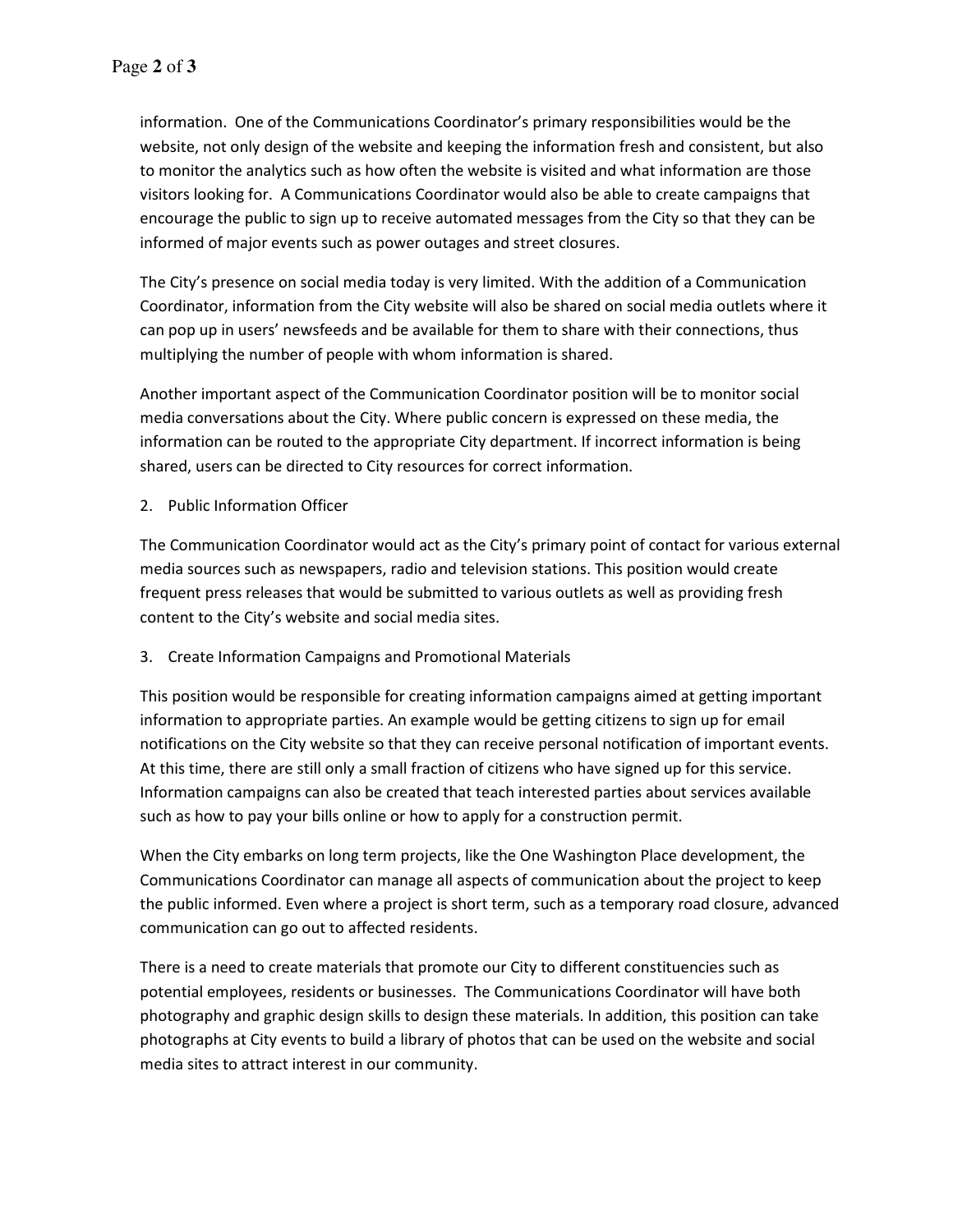information. One of the Communications Coordinator's primary responsibilities would be the website, not only design of the website and keeping the information fresh and consistent, but also to monitor the analytics such as how often the website is visited and what information are those visitors looking for. A Communications Coordinator would also be able to create campaigns that encourage the public to sign up to receive automated messages from the City so that they can be informed of major events such as power outages and street closures.

The City's presence on social media today is very limited. With the addition of a Communication Coordinator, information from the City website will also be shared on social media outlets where it can pop up in users' newsfeeds and be available for them to share with their connections, thus multiplying the number of people with whom information is shared.

Another important aspect of the Communication Coordinator position will be to monitor social media conversations about the City. Where public concern is expressed on these media, the information can be routed to the appropriate City department. If incorrect information is being shared, users can be directed to City resources for correct information.

2. Public Information Officer

The Communication Coordinator would act as the City's primary point of contact for various external media sources such as newspapers, radio and television stations. This position would create frequent press releases that would be submitted to various outlets as well as providing fresh content to the City's website and social media sites.

### 3. Create Information Campaigns and Promotional Materials

This position would be responsible for creating information campaigns aimed at getting important information to appropriate parties. An example would be getting citizens to sign up for email notifications on the City website so that they can receive personal notification of important events. At this time, there are still only a small fraction of citizens who have signed up for this service. Information campaigns can also be created that teach interested parties about services available such as how to pay your bills online or how to apply for a construction permit.

When the City embarks on long term projects, like the One Washington Place development, the Communications Coordinator can manage all aspects of communication about the project to keep the public informed. Even where a project is short term, such as a temporary road closure, advanced communication can go out to affected residents.

There is a need to create materials that promote our City to different constituencies such as potential employees, residents or businesses. The Communications Coordinator will have both photography and graphic design skills to design these materials. In addition, this position can take photographs at City events to build a library of photos that can be used on the website and social media sites to attract interest in our community.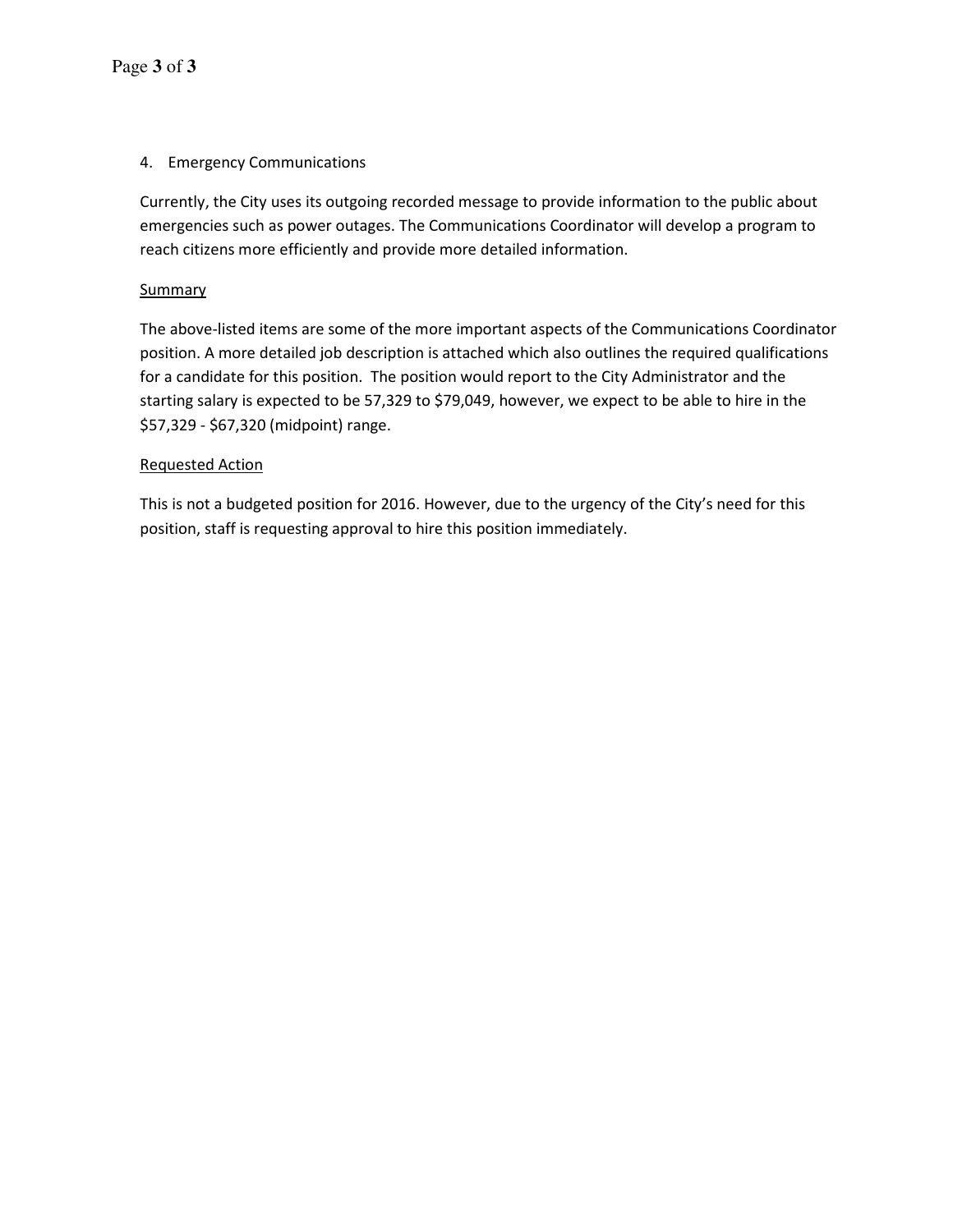## 4. Emergency Communications

Currently, the City uses its outgoing recorded message to provide information to the public about emergencies such as power outages. The Communications Coordinator will develop a program to reach citizens more efficiently and provide more detailed information.

## **Summary**

The above-listed items are some of the more important aspects of the Communications Coordinator position. A more detailed job description is attached which also outlines the required qualifications for a candidate for this position. The position would report to the City Administrator and the starting salary is expected to be 57,329 to \$79,049, however, we expect to be able to hire in the \$57,329 - \$67,320 (midpoint) range.

### Requested Action

This is not a budgeted position for 2016. However, due to the urgency of the City's need for this position, staff is requesting approval to hire this position immediately.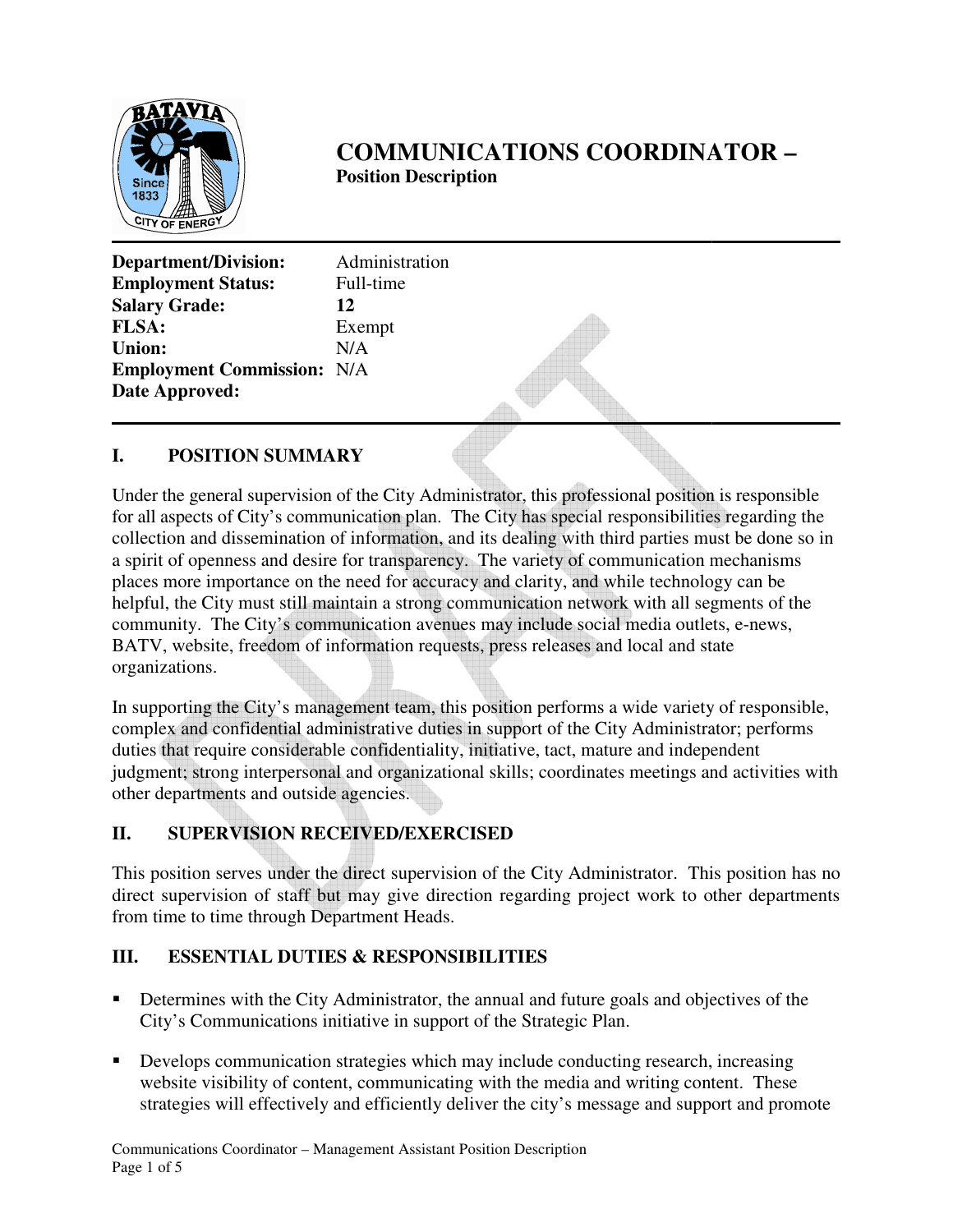

# **COMMUNICATIONS COORDINATOR COORDINATOR – Position Position Description**

| Department/Division:              | Administration |
|-----------------------------------|----------------|
| <b>Employment Status:</b>         | Full-time      |
| <b>Salary Grade:</b>              | 12             |
| <b>FLSA:</b>                      | Exempt         |
| <b>Union:</b>                     | N/A            |
| <b>Employment Commission: N/A</b> |                |
| <b>Date Approved:</b>             |                |
|                                   |                |

## **I. POSITION SUMMARY**

Under the general supervision of the City Administrator, this professional position is responsible for all aspects of City's communication plan. The City has special responsibilities regarding the for all aspects of City's communication plan. The City has special responsibilities regarding the collection and dissemination of information, and its dealing with third parties must be done so in a spirit of openness and a spirit of openness and desire for transparency. The variety of communication mechanism places more importance on the need for accuracy and clarity, and while technology can be helpful, the City must still maintain a strong communication network with all segments of the places more importance on the need for accuracy and clarity, and while technology can be helpful, the City must still maintain a strong communication network with all segments of the community. The City's communication ave BATV, website, freedom of information requests, press releases and local and state organizations.

In supporting the City's management team, this position performs a wide variety of responsible, complex and confidential administrative duties in support of the City Administrator; performs complex and confidential administrative duties in support of the City Administrator; pe duties that require considerable confidentiality, initiative, tact, mature and independent judgment; strong interpersonal and organizational skills; coordinates meetings and activities with other departments and outside agencies. independent; strong interpersonal and organizational skills; coordinates meetings and activities<br>
interdepartments and outside agencies.<br> **II.** SUPERVISION RECEIVED/EXERCISED<br>
This position serves under the direct supervis local and state<br>
wide variety of responsible,<br>
Administrator; performs<br>
e and independent<br>
meetings and activities with<br>
strator. This position has no

# **II. SUPERVISION RECEIVED/EXERCISED**

direct supervision of staff but may give direction regarding project work to other departments from time to time through Department Heads. from time to time through Department Heads

## **III. ESSENTIAL DUTIES & RESPONSIBILITIES DUTIES**

- Determines with the City Administrator, the annual and future goals and objectives of the City's Communications initiative in support of the Strategic Plan. City's Communications initiative in support of the Strategic Plan.
- Develops communication strategies which may include conducting research, increasing website visibility of content, communicating with the media and writing content. These strategies will effectively and efficiently deliver the city's message and support and promote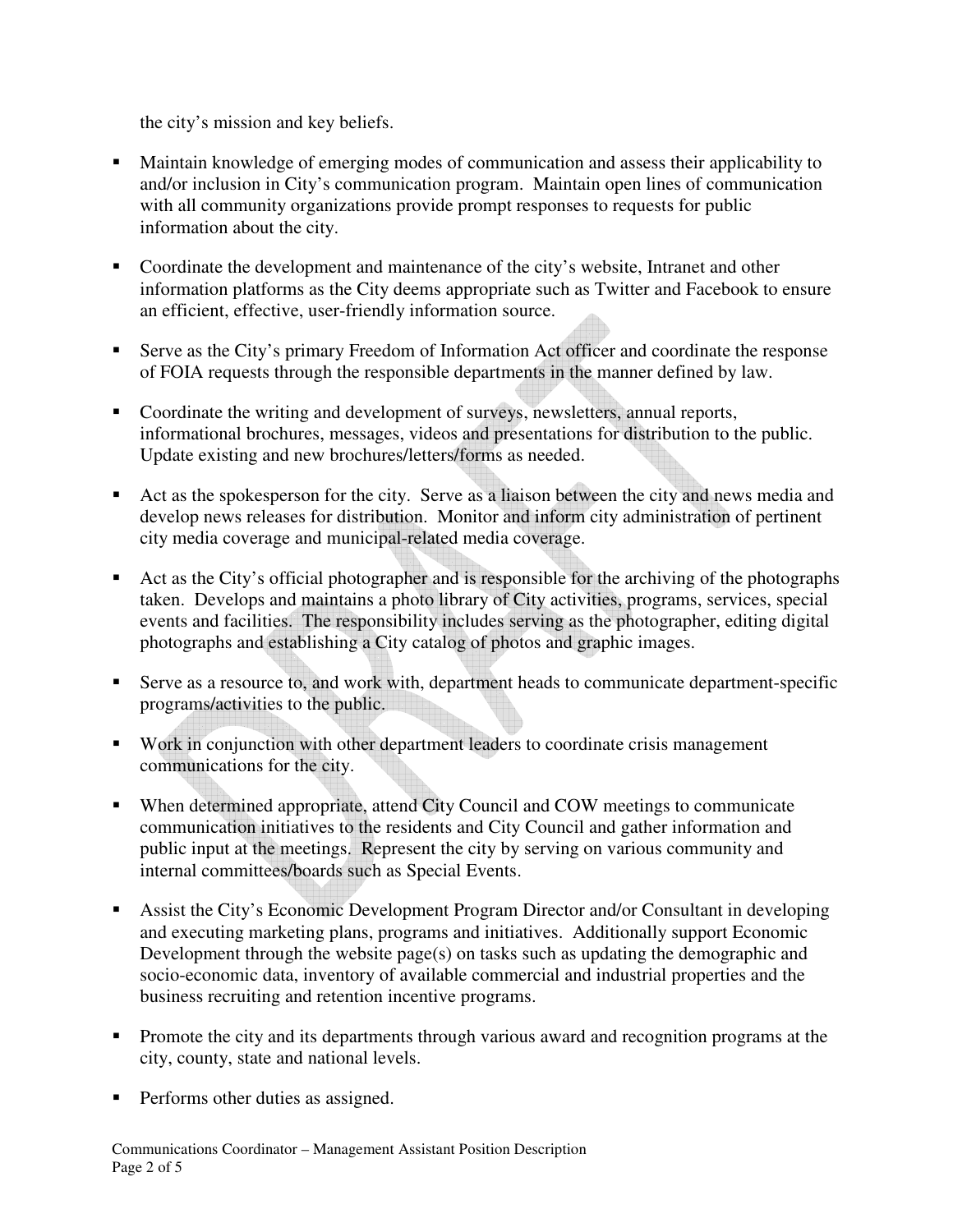the city's mission and key beliefs.

- Maintain knowledge of emerging modes of communication and assess their applicability to and/or inclusion in City's communication program. Maintain open lines of communication with all community organizations provide prompt responses to requests for public information about the city.
- Coordinate the development and maintenance of the city's website, Intranet and other information platforms as the City deems appropriate such as Twitter and Facebook to ensure an efficient, effective, user-friendly information source.
- Serve as the City's primary Freedom of Information Act officer and coordinate the response of FOIA requests through the responsible departments in the manner defined by law.
- Coordinate the writing and development of surveys, newsletters, annual reports, informational brochures, messages, videos and presentations for distribution to the public. Update existing and new brochures/letters/forms as needed.
- Act as the spokesperson for the city. Serve as a liaison between the city and news media and develop news releases for distribution. Monitor and inform city administration of pertinent city media coverage and municipal-related media coverage.
- Act as the City's official photographer and is responsible for the archiving of the photographs taken. Develops and maintains a photo library of City activities, programs, services, special events and facilities. The responsibility includes serving as the photographer, editing digital photographs and establishing a City catalog of photos and graphic images.
- Serve as a resource to, and work with, department heads to communicate department-specific programs/activities to the public.
- Work in conjunction with other department leaders to coordinate crisis management communications for the city.
- When determined appropriate, attend City Council and COW meetings to communicate communication initiatives to the residents and City Council and gather information and public input at the meetings. Represent the city by serving on various community and internal committees/boards such as Special Events.
- Assist the City's Economic Development Program Director and/or Consultant in developing and executing marketing plans, programs and initiatives. Additionally support Economic Development through the website page(s) on tasks such as updating the demographic and socio-economic data, inventory of available commercial and industrial properties and the business recruiting and retention incentive programs.
- **Promote the city and its departments through various award and recognition programs at the** city, county, state and national levels.
- Performs other duties as assigned.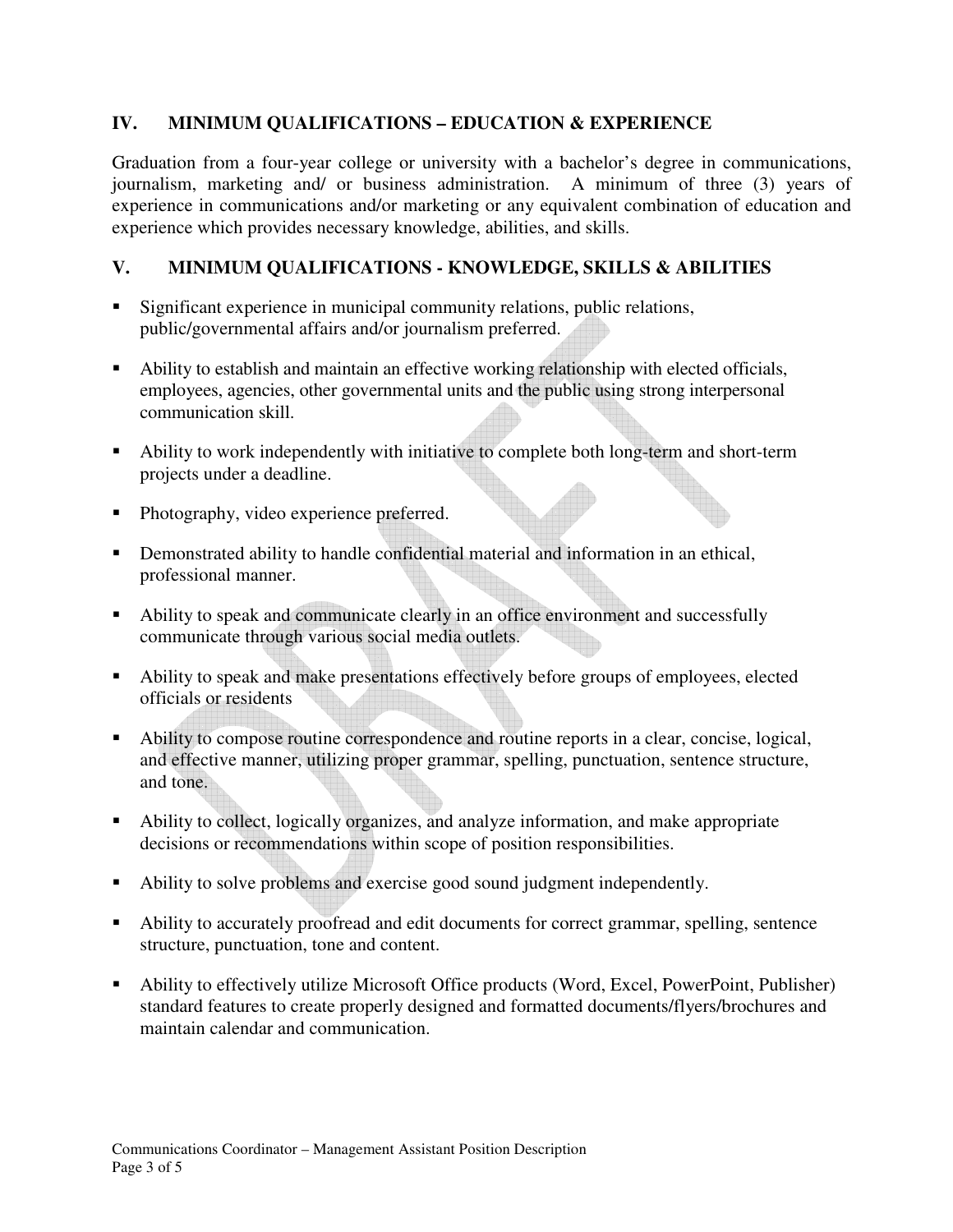## **IV. MINIMUM QUALIFICATIONS – EDUCATION & EXPERIENCE**

Graduation from a four-year college or university with a bachelor's degree in communications, journalism, marketing and/ or business administration. A minimum of three (3) years of experience in communications and/or marketing or any equivalent combination of education and experience which provides necessary knowledge, abilities, and skills.

## **V. MINIMUM QUALIFICATIONS - KNOWLEDGE, SKILLS & ABILITIES**

- Significant experience in municipal community relations, public relations, public/governmental affairs and/or journalism preferred.
- Ability to establish and maintain an effective working relationship with elected officials, employees, agencies, other governmental units and the public using strong interpersonal communication skill.
- Ability to work independently with initiative to complete both long-term and short-term projects under a deadline.
- Photography, video experience preferred.
- Demonstrated ability to handle confidential material and information in an ethical, professional manner.
- Ability to speak and communicate clearly in an office environment and successfully communicate through various social media outlets.
- Ability to speak and make presentations effectively before groups of employees, elected officials or residents
- Ability to compose routine correspondence and routine reports in a clear, concise, logical, and effective manner, utilizing proper grammar, spelling, punctuation, sentence structure, and tone.
- Ability to collect, logically organizes, and analyze information, and make appropriate decisions or recommendations within scope of position responsibilities.
- Ability to solve problems and exercise good sound judgment independently.
- Ability to accurately proofread and edit documents for correct grammar, spelling, sentence structure, punctuation, tone and content.
- Ability to effectively utilize Microsoft Office products (Word, Excel, PowerPoint, Publisher) standard features to create properly designed and formatted documents/flyers/brochures and maintain calendar and communication.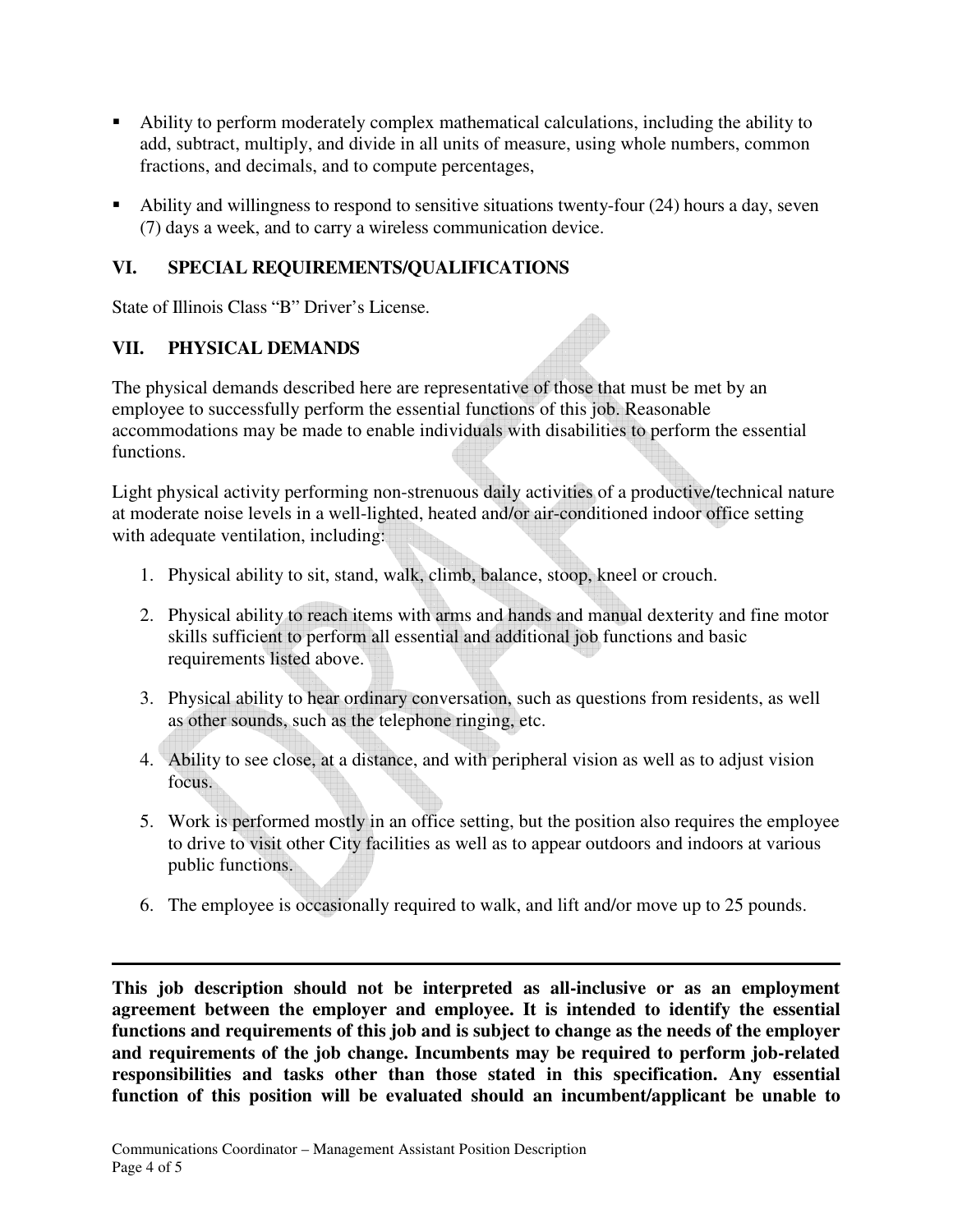- Ability to perform moderately complex mathematical calculations, including the ability to add, subtract, multiply, and divide in all units of measure, using whole numbers, common fractions, and decimals, and to compute percentages,
- Ability and willingness to respond to sensitive situations twenty-four (24) hours a day, seven (7) days a week, and to carry a wireless communication device.

# **VI. SPECIAL REQUIREMENTS/QUALIFICATIONS**

State of Illinois Class "B" Driver's License.

## **VII. PHYSICAL DEMANDS**

The physical demands described here are representative of those that must be met by an employee to successfully perform the essential functions of this job. Reasonable accommodations may be made to enable individuals with disabilities to perform the essential functions.

Light physical activity performing non-strenuous daily activities of a productive/technical nature at moderate noise levels in a well-lighted, heated and/or air-conditioned indoor office setting with adequate ventilation, including:

- 1. Physical ability to sit, stand, walk, climb, balance, stoop, kneel or crouch.
- 2. Physical ability to reach items with arms and hands and manual dexterity and fine motor skills sufficient to perform all essential and additional job functions and basic requirements listed above.
- 3. Physical ability to hear ordinary conversation, such as questions from residents, as well as other sounds, such as the telephone ringing, etc.
- 4. Ability to see close, at a distance, and with peripheral vision as well as to adjust vision focus.
- 5. Work is performed mostly in an office setting, but the position also requires the employee to drive to visit other City facilities as well as to appear outdoors and indoors at various public functions.
- 6. The employee is occasionally required to walk, and lift and/or move up to 25 pounds.

**This job description should not be interpreted as all-inclusive or as an employment agreement between the employer and employee. It is intended to identify the essential functions and requirements of this job and is subject to change as the needs of the employer and requirements of the job change. Incumbents may be required to perform job-related responsibilities and tasks other than those stated in this specification. Any essential function of this position will be evaluated should an incumbent/applicant be unable to**